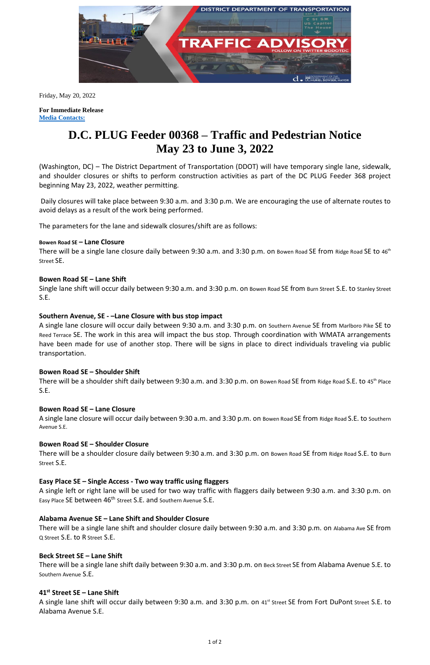

Friday, May 20, 2022

**For Immediate Release Media Contacts:**

# **D.C. PLUG Feeder 00368 – Traffic and Pedestrian Notice May 23 to June 3, 2022**

(Washington, DC) – The District Department of Transportation (DDOT) will have temporary single lane, sidewalk, and shoulder closures or shifts to perform construction activities as part of the DC PLUG Feeder 368 project beginning May 23, 2022, weather permitting.

There will be a single lane closure daily between 9:30 a.m. and 3:30 p.m. on Bowen Road SE from Ridge Road SE to 46<sup>th</sup> Street SE.

Daily closures will take place between 9:30 a.m. and 3:30 p.m. We are encouraging the use of alternate routes to avoid delays as a result of the work being performed.

The parameters for the lane and sidewalk closures/shift are as follows:

## **Bowen Road SE – Lane Closure**

There will be a shoulder shift daily between 9:30 a.m. and 3:30 p.m. on Bowen Road SE from Ridge Road S.E. to 45<sup>th</sup> Place S.E.

## **Bowen Road SE – Lane Shift**

Single lane shift will occur daily between 9:30 a.m. and 3:30 p.m. on Bowen Road SE from Burn Street S.E. to Stanley Street S.E.

A single left or right lane will be used for two way traffic with flaggers daily between 9:30 a.m. and 3:30 p.m. on Easy Place SE between 46<sup>th</sup> Street S.E. and Southern Avenue S.E.

## **Southern Avenue, SE - –Lane Closure with bus stop impact**

A single lane closure will occur daily between 9:30 a.m. and 3:30 p.m. on Southern Avenue SE from Marlboro Pike SE to Reed Terrace SE. The work in this area will impact the bus stop. Through coordination with WMATA arrangements have been made for use of another stop. There will be signs in place to direct individuals traveling via public transportation.

A single lane shift will occur daily between 9:30 a.m. and 3:30 p.m. on 41<sup>st</sup> Street SE from Fort DuPont Street S.E. to Alabama Avenue S.E.

## **Bowen Road SE – Shoulder Shift**

## **Bowen Road SE – Lane Closure**

A single lane closure will occur daily between 9:30 a.m. and 3:30 p.m. on Bowen Road SE from Ridge Road S.E. to Southern Avenue S.E.

## **Bowen Road SE – Shoulder Closure**

There will be a shoulder closure daily between 9:30 a.m. and 3:30 p.m. on Bowen Road SE from Ridge Road S.E. to Burn Street S.E.

# **Easy Place SE – Single Access - Two way traffic using flaggers**

## **Alabama Avenue SE – Lane Shift and Shoulder Closure**

There will be a single lane shift and shoulder closure daily between 9:30 a.m. and 3:30 p.m. on Alabama Ave SE from Q Street S.E. to R Street S.E.

#### **Beck Street SE – Lane Shift**

There will be a single lane shift daily between 9:30 a.m. and 3:30 p.m. on Beck Street SE from Alabama Avenue S.E. to Southern Avenue S.E.

#### **41st Street SE – Lane Shift**